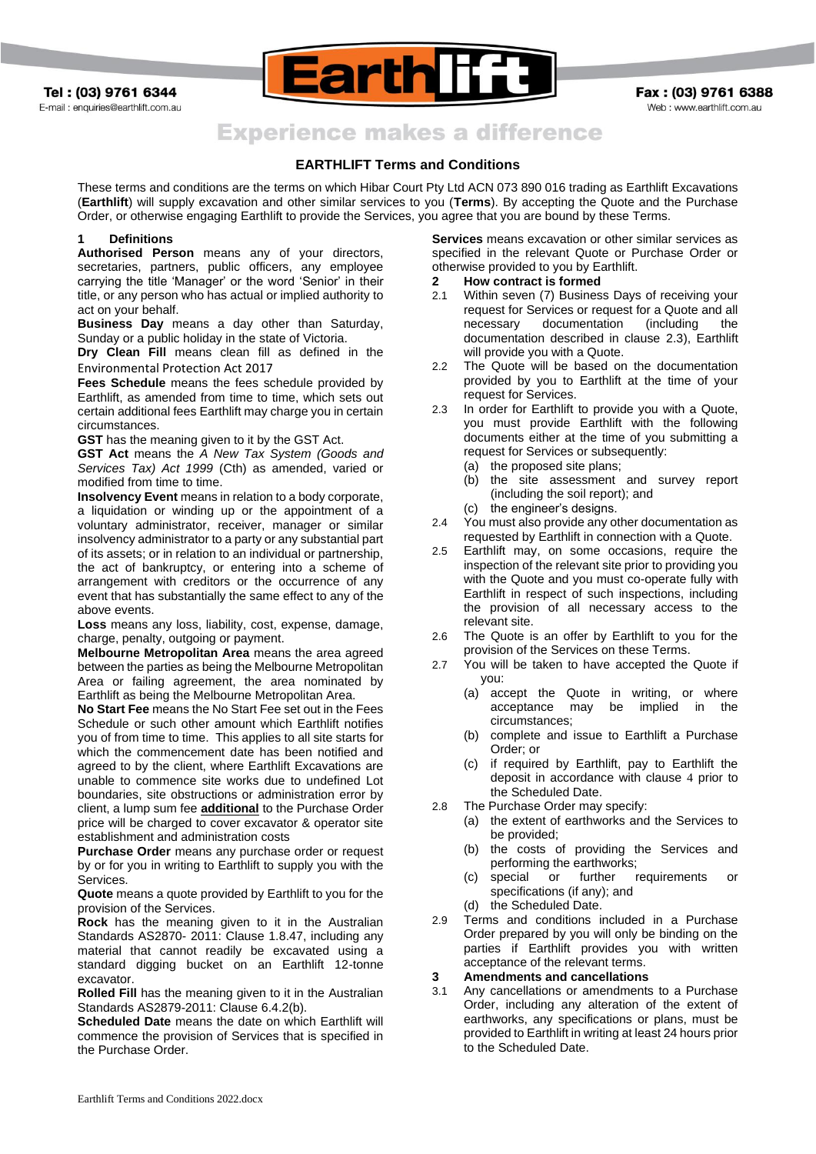Tel: (03) 9761 6344 E-mail : enquiries@earthlift.com.au



Fax: (03) 9761 6388 Web: www.earthlift.com.au

# **Experience makes a difference**

# **EARTHLIFT Terms and Conditions**

These terms and conditions are the terms on which Hibar Court Pty Ltd ACN 073 890 016 trading as Earthlift Excavations (**Earthlift**) will supply excavation and other similar services to you (**Terms**). By accepting the Quote and the Purchase Order, or otherwise engaging Earthlift to provide the Services, you agree that you are bound by these Terms.

### **1 Definitions**

**Authorised Person** means any of your directors, secretaries, partners, public officers, any employee carrying the title 'Manager' or the word 'Senior' in their title, or any person who has actual or implied authority to act on your behalf.

**Business Day** means a day other than Saturday, Sunday or a public holiday in the state of Victoria.

**Dry Clean Fill** means clean fill as defined in the Environmental Protection Act 2017

**Fees Schedule** means the fees schedule provided by Earthlift, as amended from time to time, which sets out certain additional fees Earthlift may charge you in certain circumstances.

**GST** has the meaning given to it by the GST Act.

**GST Act** means the *A New Tax System (Goods and Services Tax) Act 1999* (Cth) as amended, varied or modified from time to time.

**Insolvency Event** means in relation to a body corporate, a liquidation or winding up or the appointment of a voluntary administrator, receiver, manager or similar insolvency administrator to a party or any substantial part of its assets; or in relation to an individual or partnership, the act of bankruptcy, or entering into a scheme of arrangement with creditors or the occurrence of any event that has substantially the same effect to any of the above events.

**Loss** means any loss, liability, cost, expense, damage, charge, penalty, outgoing or payment.

**Melbourne Metropolitan Area** means the area agreed between the parties as being the Melbourne Metropolitan Area or failing agreement, the area nominated by Earthlift as being the Melbourne Metropolitan Area.

**No Start Fee** means the No Start Fee set out in the Fees Schedule or such other amount which Earthlift notifies you of from time to time. This applies to all site starts for which the commencement date has been notified and agreed to by the client, where Earthlift Excavations are unable to commence site works due to undefined Lot boundaries, site obstructions or administration error by client, a lump sum fee **additional** to the Purchase Order price will be charged to cover excavator & operator site establishment and administration costs

**Purchase Order** means any purchase order or request by or for you in writing to Earthlift to supply you with the Services.

**Quote** means a quote provided by Earthlift to you for the provision of the Services.

**Rock** has the meaning given to it in the Australian Standards AS2870- 2011: Clause 1.8.47, including any material that cannot readily be excavated using a standard digging bucket on an Earthlift 12-tonne excavator.

**Rolled Fill** has the meaning given to it in the Australian Standards AS2879-2011: Clause 6.4.2(b).

**Scheduled Date** means the date on which Earthlift will commence the provision of Services that is specified in the Purchase Order.

**Services** means excavation or other similar services as specified in the relevant Quote or Purchase Order or otherwise provided to you by Earthlift.

#### **2 How contract is formed**

- 2.1 Within seven (7) Business Days of receiving your request for Services or request for a Quote and all necessary documentation (including the documentation described in clause [2.3\)](#page-0-0), Earthlift will provide you with a Quote.
- 2.2 The Quote will be based on the documentation provided by you to Earthlift at the time of your request for Services.
- <span id="page-0-0"></span>2.3 In order for Earthlift to provide you with a Quote, you must provide Earthlift with the following documents either at the time of you submitting a request for Services or subsequently:
	- (a) the proposed site plans;
	- (b) the site assessment and survey report (including the soil report); and (c) the engineer's designs.
	-
- 2.4 You must also provide any other documentation as requested by Earthlift in connection with a Quote.
- 2.5 Earthlift may, on some occasions, require the inspection of the relevant site prior to providing you with the Quote and you must co-operate fully with Earthlift in respect of such inspections, including the provision of all necessary access to the relevant site.
- 2.6 The Quote is an offer by Earthlift to you for the provision of the Services on these Terms.
- 2.7 You will be taken to have accepted the Quote if you:
	- (a) accept the Quote in writing, or where acceptance may be implied in the circumstances;
	- (b) complete and issue to Earthlift a Purchase Order; or
	- (c) if required by Earthlift, pay to Earthlift the deposit in accordance with clause [4](#page-1-0) prior to the Scheduled Date.
- 2.8 The Purchase Order may specify:
	- (a) the extent of earthworks and the Services to be provided;
	- (b) the costs of providing the Services and performing the earthworks;
	- (c) special or further requirements or specifications (if any); and
	- (d) the Scheduled Date.
- 2.9 Terms and conditions included in a Purchase Order prepared by you will only be binding on the parties if Earthlift provides you with written acceptance of the relevant terms.
- **3 Amendments and cancellations**
- 3.1 Any cancellations or amendments to a Purchase Order, including any alteration of the extent of earthworks, any specifications or plans, must be provided to Earthlift in writing at least 24 hours prior to the Scheduled Date.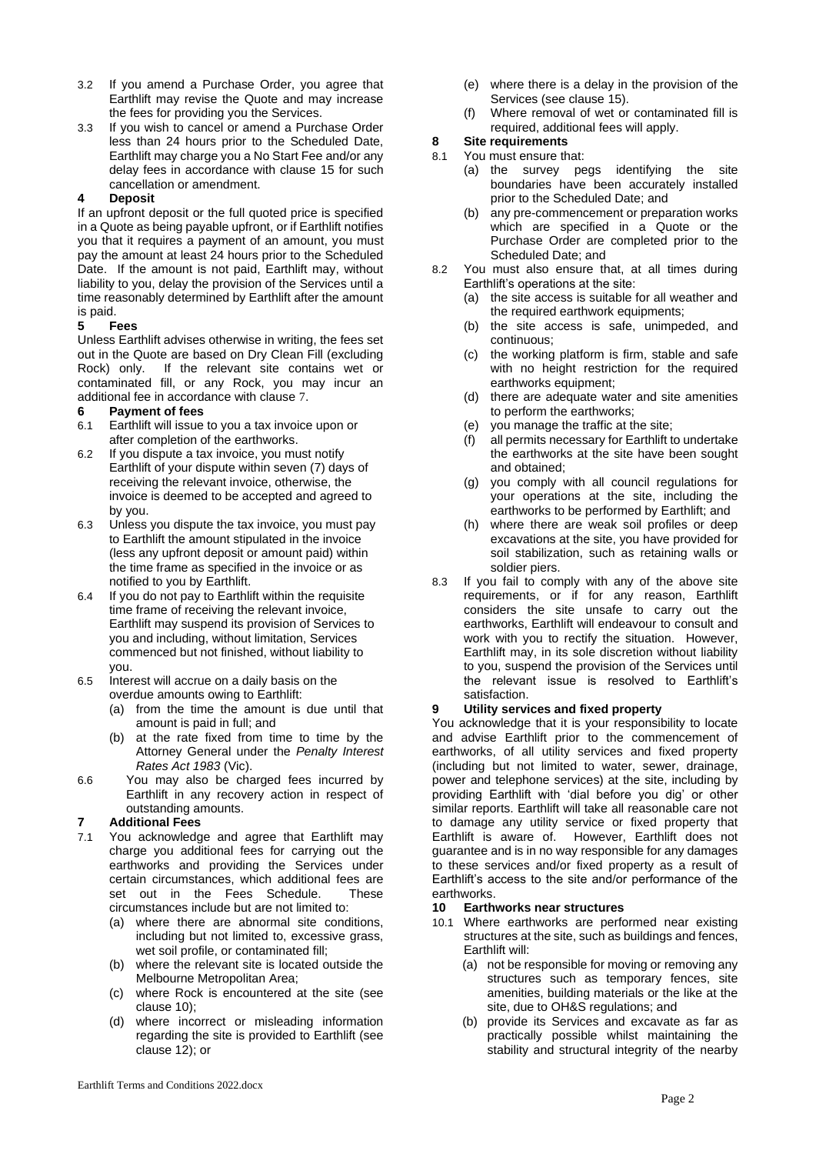- 3.2 If you amend a Purchase Order, you agree that Earthlift may revise the Quote and may increase the fees for providing you the Services.
- 3.3 If you wish to cancel or amend a Purchase Order less than 24 hours prior to the Scheduled Date, Earthlift may charge you a No Start Fee and/or any delay fees in accordance with clause [15](#page-2-0) for such cancellation or amendment.

# <span id="page-1-0"></span>**4 Deposit**

If an upfront deposit or the full quoted price is specified in a Quote as being payable upfront, or if Earthlift notifies you that it requires a payment of an amount, you must pay the amount at least 24 hours prior to the Scheduled Date. If the amount is not paid, Earthlift may, without liability to you, delay the provision of the Services until a time reasonably determined by Earthlift after the amount is paid.

# **5 Fees**

Unless Earthlift advises otherwise in writing, the fees set out in the Quote are based on Dry Clean Fill (excluding Rock) only. If the relevant site contains wet or contaminated fill, or any Rock, you may incur an additional fee in accordance with clause [7](#page-1-1).

# **6 Payment of fees**

- 6.1 Earthlift will issue to you a tax invoice upon or after completion of the earthworks.
- 6.2 If you dispute a tax invoice, you must notify Earthlift of your dispute within seven (7) days of receiving the relevant invoice, otherwise, the invoice is deemed to be accepted and agreed to by you.
- 6.3 Unless you dispute the tax invoice, you must pay to Earthlift the amount stipulated in the invoice (less any upfront deposit or amount paid) within the time frame as specified in the invoice or as notified to you by Earthlift.
- 6.4 If you do not pay to Earthlift within the requisite time frame of receiving the relevant invoice, Earthlift may suspend its provision of Services to you and including, without limitation, Services commenced but not finished, without liability to you.
- 6.5 Interest will accrue on a daily basis on the overdue amounts owing to Earthlift:
	- (a) from the time the amount is due until that amount is paid in full; and
	- (b) at the rate fixed from time to time by the Attorney General under the *Penalty Interest Rates Act 1983* (Vic).
- 6.6 You may also be charged fees incurred by Earthlift in any recovery action in respect of outstanding amounts.

## <span id="page-1-1"></span>**7 Additional Fees**

- 7.1 You acknowledge and agree that Earthlift may charge you additional fees for carrying out the earthworks and providing the Services under certain circumstances, which additional fees are set out in the Fees Schedule. These circumstances include but are not limited to:
	- (a) where there are abnormal site conditions, including but not limited to, excessive grass, wet soil profile, or contaminated fill;
	- (b) where the relevant site is located outside the Melbourne Metropolitan Area;
	- (c) where Rock is encountered at the site (see clause [10\)](#page-1-2);
	- (d) where incorrect or misleading information regarding the site is provided to Earthlift (see clause [12\)](#page-2-1); or
- (e) where there is a delay in the provision of the Services (see claus[e 15\)](#page-2-0).
- (f) Where removal of wet or contaminated fill is required, additional fees will apply.

# **8 Site requirements**

# <span id="page-1-3"></span>8.1 You must ensure that:

- (a) the survey pegs identifying the site boundaries have been accurately installed prior to the Scheduled Date; and
- (b) any pre-commencement or preparation works which are specified in a Quote or the Purchase Order are completed prior to the Scheduled Date; and
- 8.2 You must also ensure that, at all times during Earthlift's operations at the site:
	- (a) the site access is suitable for all weather and the required earthwork equipments;
	- (b) the site access is safe, unimpeded, and continuous;
	- (c) the working platform is firm, stable and safe with no height restriction for the required earthworks equipment;
	- (d) there are adequate water and site amenities to perform the earthworks;
	- (e) you manage the traffic at the site;
	- (f) all permits necessary for Earthlift to undertake the earthworks at the site have been sought and obtained;
	- (g) you comply with all council regulations for your operations at the site, including the earthworks to be performed by Earthlift; and
	- (h) where there are weak soil profiles or deep excavations at the site, you have provided for soil stabilization, such as retaining walls or soldier piers.
- <span id="page-1-4"></span>8.3 If you fail to comply with any of the above site requirements, or if for any reason, Earthlift considers the site unsafe to carry out the earthworks, Earthlift will endeavour to consult and work with you to rectify the situation. However, Earthlift may, in its sole discretion without liability to you, suspend the provision of the Services until the relevant issue is resolved to Earthlift's satisfaction.

# **9 Utility services and fixed property**

You acknowledge that it is your responsibility to locate and advise Earthlift prior to the commencement of earthworks, of all utility services and fixed property (including but not limited to water, sewer, drainage, power and telephone services) at the site, including by providing Earthlift with 'dial before you dig' or other similar reports. Earthlift will take all reasonable care not to damage any utility service or fixed property that Earthlift is aware of. However, Earthlift does not guarantee and is in no way responsible for any damages to these services and/or fixed property as a result of Earthlift's access to the site and/or performance of the earthworks.

# <span id="page-1-2"></span>**10 Earthworks near structures**

- 10.1 Where earthworks are performed near existing structures at the site, such as buildings and fences, Earthlift will:
	- (a) not be responsible for moving or removing any structures such as temporary fences, site amenities, building materials or the like at the site, due to OH&S regulations; and
	- (b) provide its Services and excavate as far as practically possible whilst maintaining the stability and structural integrity of the nearby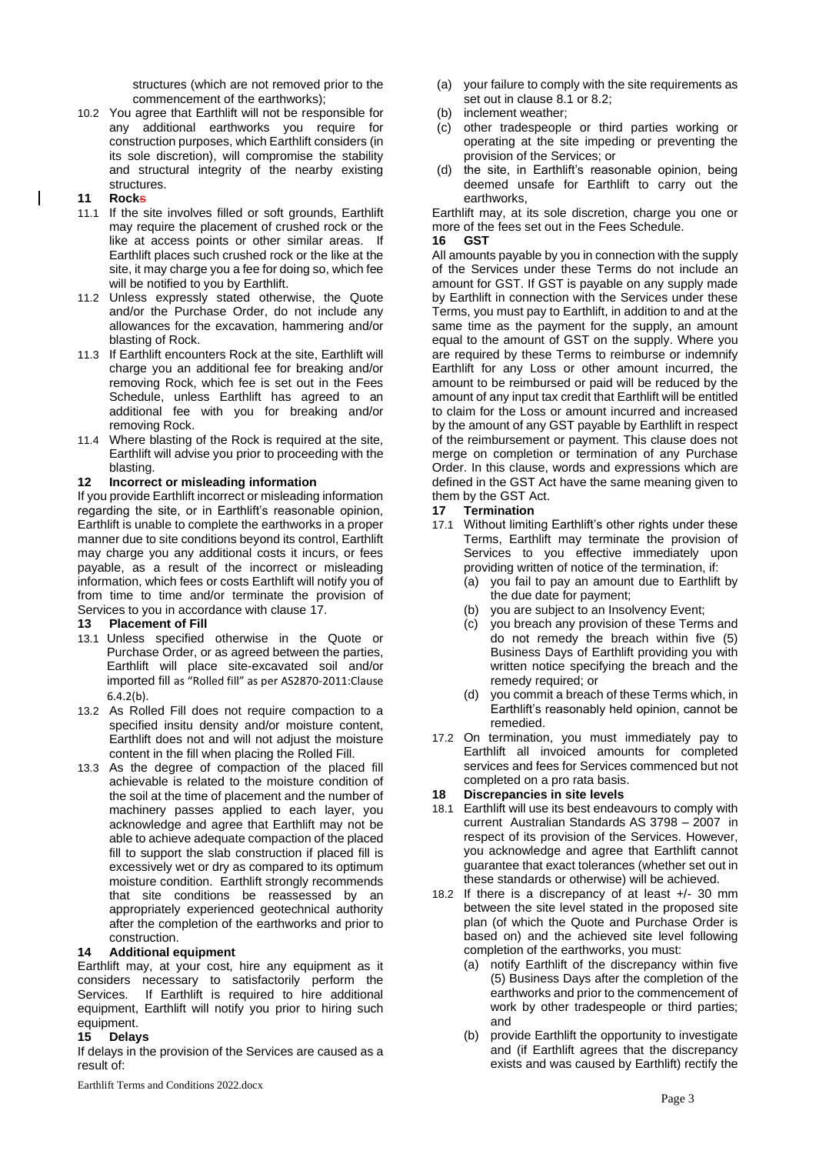structures (which are not removed prior to the commencement of the earthworks);

10.2 You agree that Earthlift will not be responsible for any additional earthworks you require for construction purposes, which Earthlift considers (in its sole discretion), will compromise the stability and structural integrity of the nearby existing structures.

## **11 Rocks**

 $\overline{\phantom{a}}$ 

- 11.1 If the site involves filled or soft grounds, Earthlift may require the placement of crushed rock or the like at access points or other similar areas. If Earthlift places such crushed rock or the like at the site, it may charge you a fee for doing so, which fee will be notified to you by Earthlift.
- 11.2 Unless expressly stated otherwise, the Quote and/or the Purchase Order, do not include any allowances for the excavation, hammering and/or blasting of Rock.
- 11.3 If Earthlift encounters Rock at the site, Earthlift will charge you an additional fee for breaking and/or removing Rock, which fee is set out in the Fees Schedule, unless Earthlift has agreed to an additional fee with you for breaking and/or removing Rock.
- 11.4 Where blasting of the Rock is required at the site, Earthlift will advise you prior to proceeding with the blasting.

#### <span id="page-2-1"></span>**12 Incorrect or misleading information**

If you provide Earthlift incorrect or misleading information regarding the site, or in Earthlift's reasonable opinion, Earthlift is unable to complete the earthworks in a proper manner due to site conditions beyond its control, Earthlift may charge you any additional costs it incurs, or fees payable, as a result of the incorrect or misleading information, which fees or costs Earthlift will notify you of from time to time and/or terminate the provision of Services to you in accordance with clause [17.](#page-2-2)

#### **13 Placement of Fill**

- 13.1 Unless specified otherwise in the Quote or Purchase Order, or as agreed between the parties, Earthlift will place site-excavated soil and/or imported fill as "Rolled fill" as per AS2870-2011:Clause 6.4.2(b).
- 13.2 As Rolled Fill does not require compaction to a specified insitu density and/or moisture content, Earthlift does not and will not adjust the moisture content in the fill when placing the Rolled Fill.
- 13.3 As the degree of compaction of the placed fill achievable is related to the moisture condition of the soil at the time of placement and the number of machinery passes applied to each layer, you acknowledge and agree that Earthlift may not be able to achieve adequate compaction of the placed fill to support the slab construction if placed fill is excessively wet or dry as compared to its optimum moisture condition. Earthlift strongly recommends that site conditions be reassessed by an appropriately experienced geotechnical authority after the completion of the earthworks and prior to construction.

## **14 Additional equipment**

Earthlift may, at your cost, hire any equipment as it considers necessary to satisfactorily perform the Services. If Earthlift is required to hire additional equipment, Earthlift will notify you prior to hiring such equipment.

## <span id="page-2-0"></span>**15 Delays**

If delays in the provision of the Services are caused as a result of:

- (a) your failure to comply with the site requirements as set out in clause [8.1](#page-1-3) or 8.2;
- (b) inclement weather;
- (c) other tradespeople or third parties working or operating at the site impeding or preventing the provision of the Services; or
- (d) the site, in Earthlift's reasonable opinion, being deemed unsafe for Earthlift to carry out the earthworks,

Earthlift may, at its sole discretion, charge you one or more of the fees set out in the Fees Schedule.

#### **16 GST**

All amounts payable by you in connection with the supply of the Services under these Terms do not include an amount for GST. If GST is payable on any supply made by Earthlift in connection with the Services under these Terms, you must pay to Earthlift, in addition to and at the same time as the payment for the supply, an amount equal to the amount of GST on the supply. Where you are required by these Terms to reimburse or indemnify Earthlift for any Loss or other amount incurred, the amount to be reimbursed or paid will be reduced by the amount of any input tax credit that Earthlift will be entitled to claim for the Loss or amount incurred and increased by the amount of any GST payable by Earthlift in respect of the reimbursement or payment. This clause does not merge on completion or termination of any Purchase Order. In this clause, words and expressions which are defined in the GST Act have the same meaning given to them by the GST Act.

## <span id="page-2-2"></span>**17 Termination**

- 17.1 Without limiting Earthlift's other rights under these Terms, Earthlift may terminate the provision of Services to you effective immediately upon providing written of notice of the termination, if:
	- (a) you fail to pay an amount due to Earthlift by the due date for payment;
	- you are subject to an Insolvency Event;
	- (c) you breach any provision of these Terms and do not remedy the breach within five (5) Business Days of Earthlift providing you with written notice specifying the breach and the remedy required; or
	- (d) you commit a breach of these Terms which, in Earthlift's reasonably held opinion, cannot be remedied.
- 17.2 On termination, you must immediately pay to Earthlift all invoiced amounts for completed services and fees for Services commenced but not completed on a pro rata basis.

#### **18 Discrepancies in site levels**

- 18.1 Earthlift will use its best endeavours to comply with current Australian Standards AS 3798 – 2007 in respect of its provision of the Services. However, you acknowledge and agree that Earthlift cannot guarantee that exact tolerances (whether set out in these standards or otherwise) will be achieved.
- 18.2 If there is a discrepancy of at least +/- 30 mm between the site level stated in the proposed site plan (of which the Quote and Purchase Order is based on) and the achieved site level following completion of the earthworks, you must:
	- (a) notify Earthlift of the discrepancy within five (5) Business Days after the completion of the earthworks and prior to the commencement of work by other tradespeople or third parties; and
	- (b) provide Earthlift the opportunity to investigate and (if Earthlift agrees that the discrepancy exists and was caused by Earthlift) rectify the

Earthlift Terms and Conditions 2022.docx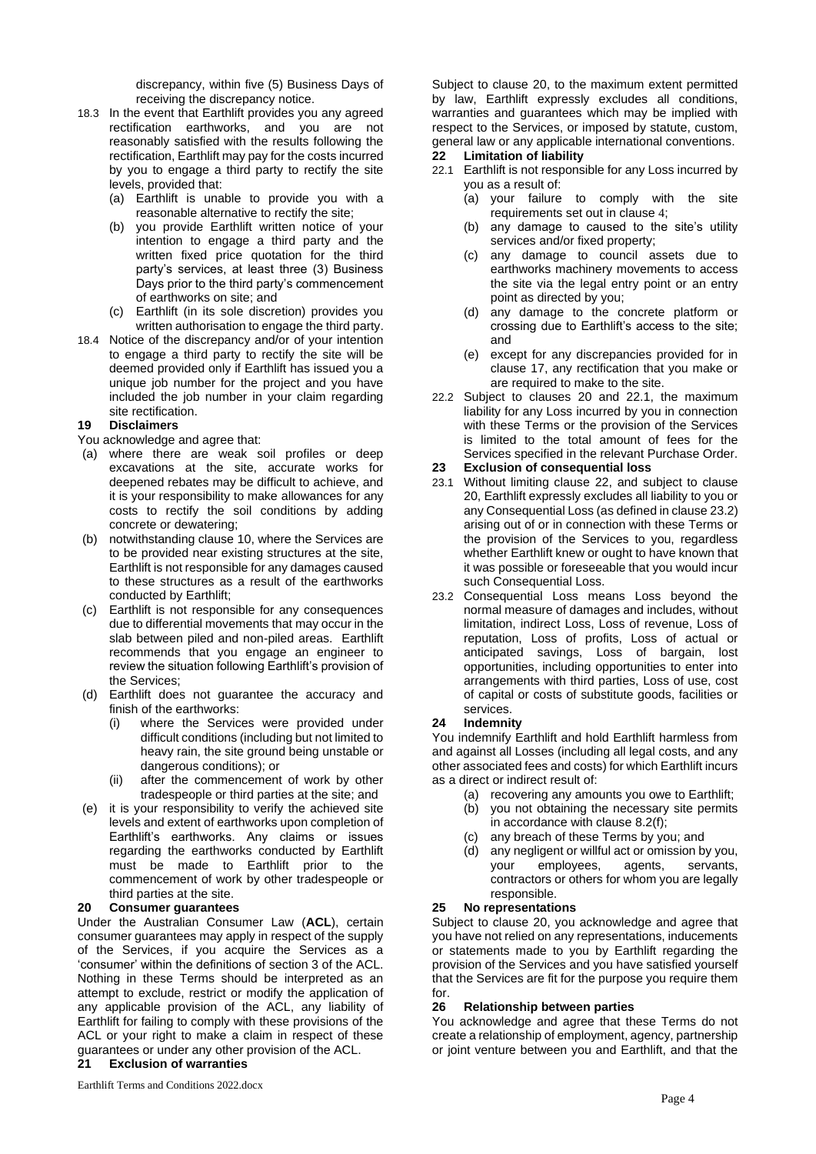discrepancy, within five (5) Business Days of receiving the discrepancy notice.

- 18.3 In the event that Earthlift provides you any agreed rectification earthworks, and you are not reasonably satisfied with the results following the rectification, Earthlift may pay for the costs incurred by you to engage a third party to rectify the site levels, provided that:
	- (a) Earthlift is unable to provide you with a reasonable alternative to rectify the site;
	- (b) you provide Earthlift written notice of your intention to engage a third party and the written fixed price quotation for the third party's services, at least three (3) Business Days prior to the third party's commencement of earthworks on site; and
	- (c) Earthlift (in its sole discretion) provides you written authorisation to engage the third party.
- 18.4 Notice of the discrepancy and/or of your intention to engage a third party to rectify the site will be deemed provided only if Earthlift has issued you a unique job number for the project and you have included the job number in your claim regarding site rectification.

# **19 Disclaimers**

You acknowledge and agree that:

- (a) where there are weak soil profiles or deep excavations at the site, accurate works for deepened rebates may be difficult to achieve, and it is your responsibility to make allowances for any costs to rectify the soil conditions by adding concrete or dewatering;
- (b) notwithstanding clause [10,](#page-1-2) where the Services are to be provided near existing structures at the site, Earthlift is not responsible for any damages caused to these structures as a result of the earthworks conducted by Earthlift;
- (c) Earthlift is not responsible for any consequences due to differential movements that may occur in the slab between piled and non-piled areas. Earthlift recommends that you engage an engineer to review the situation following Earthlift's provision of the Services;
- (d) Earthlift does not guarantee the accuracy and finish of the earthworks:
	- (i) where the Services were provided under difficult conditions (including but not limited to heavy rain, the site ground being unstable or dangerous conditions); or
	- (ii) after the commencement of work by other tradespeople or third parties at the site; and
- (e) it is your responsibility to verify the achieved site levels and extent of earthworks upon completion of Earthlift's earthworks. Any claims or issues regarding the earthworks conducted by Earthlift must be made to Earthlift prior to the commencement of work by other tradespeople or third parties at the site.

## <span id="page-3-0"></span>**20 Consumer guarantees**

Under the Australian Consumer Law (**ACL**), certain consumer guarantees may apply in respect of the supply of the Services, if you acquire the Services as a 'consumer' within the definitions of section 3 of the ACL. Nothing in these Terms should be interpreted as an attempt to exclude, restrict or modify the application of any applicable provision of the ACL, any liability of Earthlift for failing to comply with these provisions of the ACL or your right to make a claim in respect of these guarantees or under any other provision of the ACL.

## **21 Exclusion of warranties**

Subject to clause [20,](#page-3-0) to the maximum extent permitted by law, Earthlift expressly excludes all conditions, warranties and guarantees which may be implied with respect to the Services, or imposed by statute, custom, general law or any applicable international conventions.

## <span id="page-3-2"></span>**22 Limitation of liability**

- <span id="page-3-1"></span>22.1 Earthlift is not responsible for any Loss incurred by you as a result of:
	- (a) your failure to comply with the site requirements set out in clause [4](#page-1-0);
	- (b) any damage to caused to the site's utility services and/or fixed property;
	- (c) any damage to council assets due to earthworks machinery movements to access the site via the legal entry point or an entry point as directed by you;
	- (d) any damage to the concrete platform or crossing due to Earthlift's access to the site; and
	- (e) except for any discrepancies provided for in clause [17,](#page-2-2) any rectification that you make or are required to make to the site.
- 22.2 Subject to clauses [20](#page-3-0) and [22.1,](#page-3-1) the maximum liability for any Loss incurred by you in connection with these Terms or the provision of the Services is limited to the total amount of fees for the Services specified in the relevant Purchase Order.

# **23 Exclusion of consequential loss**

- 23.1 Without limiting clause [22,](#page-3-2) and subject to clause [20,](#page-3-0) Earthlift expressly excludes all liability to you or any Consequential Loss (as defined in claus[e 23.2\)](#page-3-3) arising out of or in connection with these Terms or the provision of the Services to you, regardless whether Earthlift knew or ought to have known that it was possible or foreseeable that you would incur such Consequential Loss.
- <span id="page-3-3"></span>23.2 Consequential Loss means Loss beyond the normal measure of damages and includes, without limitation, indirect Loss, Loss of revenue, Loss of reputation, Loss of profits, Loss of actual or anticipated savings, Loss of bargain, lost opportunities, including opportunities to enter into arrangements with third parties, Loss of use, cost of capital or costs of substitute goods, facilities or services.

# **24 Indemnity**

You indemnify Earthlift and hold Earthlift harmless from and against all Losses (including all legal costs, and any other associated fees and costs) for which Earthlift incurs as a direct or indirect result of:

- (a) recovering any amounts you owe to Earthlift;
- (b) you not obtaining the necessary site permits in accordance with claus[e 8.2\(f\);](#page-1-4)
- any breach of these Terms by you; and
- (d) any negligent or willful act or omission by you, your employees, agents, servants, contractors or others for whom you are legally responsible.

## **25 No representations**

Subject to clause [20,](#page-3-0) you acknowledge and agree that you have not relied on any representations, inducements or statements made to you by Earthlift regarding the provision of the Services and you have satisfied yourself that the Services are fit for the purpose you require them for.

## **26 Relationship between parties**

You acknowledge and agree that these Terms do not create a relationship of employment, agency, partnership or joint venture between you and Earthlift, and that the